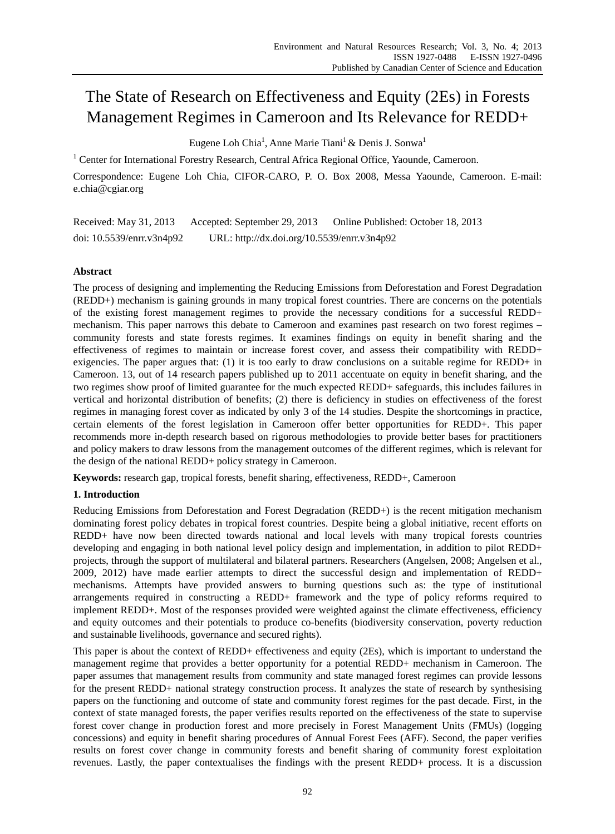# The State of Research on Effectiveness and Equity (2Es) in Forests Management Regimes in Cameroon and Its Relevance for REDD+

Eugene Loh Chia<sup>1</sup>, Anne Marie Tiani<sup>1</sup> & Denis J. Sonwa<sup>1</sup>

<sup>1</sup> Center for International Forestry Research, Central Africa Regional Office, Yaounde, Cameroon.

Correspondence: Eugene Loh Chia, CIFOR-CARO, P. O. Box 2008, Messa Yaounde, Cameroon. E-mail: e.chia@cgiar.org

Received: May 31, 2013 Accepted: September 29, 2013 Online Published: October 18, 2013 doi: 10.5539/enrr.v3n4p92 URL: http://dx.doi.org/10.5539/enrr.v3n4p92

# **Abstract**

The process of designing and implementing the Reducing Emissions from Deforestation and Forest Degradation (REDD+) mechanism is gaining grounds in many tropical forest countries. There are concerns on the potentials of the existing forest management regimes to provide the necessary conditions for a successful REDD+ mechanism. This paper narrows this debate to Cameroon and examines past research on two forest regimes – community forests and state forests regimes. It examines findings on equity in benefit sharing and the effectiveness of regimes to maintain or increase forest cover, and assess their compatibility with REDD+ exigencies. The paper argues that: (1) it is too early to draw conclusions on a suitable regime for REDD+ in Cameroon. 13, out of 14 research papers published up to 2011 accentuate on equity in benefit sharing, and the two regimes show proof of limited guarantee for the much expected REDD+ safeguards, this includes failures in vertical and horizontal distribution of benefits; (2) there is deficiency in studies on effectiveness of the forest regimes in managing forest cover as indicated by only 3 of the 14 studies. Despite the shortcomings in practice, certain elements of the forest legislation in Cameroon offer better opportunities for REDD+. This paper recommends more in-depth research based on rigorous methodologies to provide better bases for practitioners and policy makers to draw lessons from the management outcomes of the different regimes, which is relevant for the design of the national REDD+ policy strategy in Cameroon.

**Keywords:** research gap, tropical forests, benefit sharing, effectiveness, REDD+, Cameroon

# **1. Introduction**

Reducing Emissions from Deforestation and Forest Degradation (REDD+) is the recent mitigation mechanism dominating forest policy debates in tropical forest countries. Despite being a global initiative, recent efforts on REDD+ have now been directed towards national and local levels with many tropical forests countries developing and engaging in both national level policy design and implementation, in addition to pilot REDD+ projects, through the support of multilateral and bilateral partners. Researchers (Angelsen, 2008; Angelsen et al., 2009, 2012) have made earlier attempts to direct the successful design and implementation of REDD+ mechanisms. Attempts have provided answers to burning questions such as: the type of institutional arrangements required in constructing a REDD+ framework and the type of policy reforms required to implement REDD+. Most of the responses provided were weighted against the climate effectiveness, efficiency and equity outcomes and their potentials to produce co-benefits (biodiversity conservation, poverty reduction and sustainable livelihoods, governance and secured rights).

This paper is about the context of REDD+ effectiveness and equity (2Es), which is important to understand the management regime that provides a better opportunity for a potential REDD+ mechanism in Cameroon. The paper assumes that management results from community and state managed forest regimes can provide lessons for the present REDD+ national strategy construction process. It analyzes the state of research by synthesising papers on the functioning and outcome of state and community forest regimes for the past decade. First, in the context of state managed forests, the paper verifies results reported on the effectiveness of the state to supervise forest cover change in production forest and more precisely in Forest Management Units (FMUs) (logging concessions) and equity in benefit sharing procedures of Annual Forest Fees (AFF). Second, the paper verifies results on forest cover change in community forests and benefit sharing of community forest exploitation revenues. Lastly, the paper contextualises the findings with the present REDD+ process. It is a discussion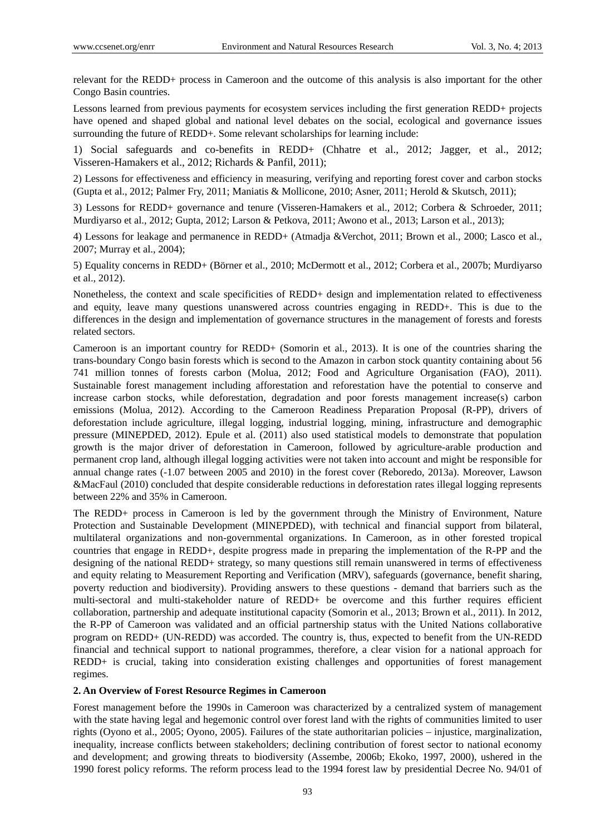relevant for the REDD+ process in Cameroon and the outcome of this analysis is also important for the other Congo Basin countries.

Lessons learned from previous payments for ecosystem services including the first generation REDD+ projects have opened and shaped global and national level debates on the social, ecological and governance issues surrounding the future of REDD+. Some relevant scholarships for learning include:

1) Social safeguards and co-benefits in REDD+ (Chhatre et al., 2012; Jagger, et al., 2012; Visseren-Hamakers et al., 2012; Richards & Panfil, 2011);

2) Lessons for effectiveness and efficiency in measuring, verifying and reporting forest cover and carbon stocks (Gupta et al., 2012; Palmer Fry, 2011; Maniatis & Mollicone, 2010; Asner, 2011; Herold & Skutsch, 2011);

3) Lessons for REDD+ governance and tenure (Visseren-Hamakers et al., 2012; Corbera & Schroeder, 2011; Murdiyarso et al., 2012; Gupta, 2012; Larson & Petkova, 2011; Awono et al., 2013; Larson et al., 2013);

4) Lessons for leakage and permanence in REDD+ (Atmadja &Verchot, 2011; Brown et al., 2000; Lasco et al., 2007; Murray et al., 2004);

5) Equality concerns in REDD+ (Börner et al., 2010; McDermott et al., 2012; Corbera et al., 2007b; Murdiyarso et al., 2012).

Nonetheless, the context and scale specificities of REDD+ design and implementation related to effectiveness and equity, leave many questions unanswered across countries engaging in REDD+. This is due to the differences in the design and implementation of governance structures in the management of forests and forests related sectors.

Cameroon is an important country for REDD+ (Somorin et al., 2013). It is one of the countries sharing the trans-boundary Congo basin forests which is second to the Amazon in carbon stock quantity containing about 56 741 million tonnes of forests carbon (Molua, 2012; Food and Agriculture Organisation (FAO), 2011). Sustainable forest management including afforestation and reforestation have the potential to conserve and increase carbon stocks, while deforestation, degradation and poor forests management increase(s) carbon emissions (Molua, 2012). According to the Cameroon Readiness Preparation Proposal (R-PP), drivers of deforestation include agriculture, illegal logging, industrial logging, mining, infrastructure and demographic pressure (MINEPDED, 2012). Epule et al. (2011) also used statistical models to demonstrate that population growth is the major driver of deforestation in Cameroon, followed by agriculture-arable production and permanent crop land, although illegal logging activities were not taken into account and might be responsible for annual change rates (-1.07 between 2005 and 2010) in the forest cover (Reboredo, 2013a). Moreover, Lawson &MacFaul (2010) concluded that despite considerable reductions in deforestation rates illegal logging represents between 22% and 35% in Cameroon.

The REDD+ process in Cameroon is led by the government through the Ministry of Environment, Nature Protection and Sustainable Development (MINEPDED), with technical and financial support from bilateral, multilateral organizations and non-governmental organizations. In Cameroon, as in other forested tropical countries that engage in REDD+, despite progress made in preparing the implementation of the R-PP and the designing of the national REDD+ strategy, so many questions still remain unanswered in terms of effectiveness and equity relating to Measurement Reporting and Verification (MRV), safeguards (governance, benefit sharing, poverty reduction and biodiversity). Providing answers to these questions - demand that barriers such as the multi-sectoral and multi-stakeholder nature of REDD+ be overcome and this further requires efficient collaboration, partnership and adequate institutional capacity (Somorin et al., 2013; Brown et al., 2011). In 2012, the R-PP of Cameroon was validated and an official partnership status with the United Nations collaborative program on REDD+ (UN-REDD) was accorded. The country is, thus, expected to benefit from the UN-REDD financial and technical support to national programmes, therefore, a clear vision for a national approach for REDD+ is crucial, taking into consideration existing challenges and opportunities of forest management regimes.

#### **2. An Overview of Forest Resource Regimes in Cameroon**

Forest management before the 1990s in Cameroon was characterized by a centralized system of management with the state having legal and hegemonic control over forest land with the rights of communities limited to user rights (Oyono et al., 2005; Oyono, 2005). Failures of the state authoritarian policies – injustice, marginalization, inequality, increase conflicts between stakeholders; declining contribution of forest sector to national economy and development; and growing threats to biodiversity (Assembe, 2006b; Ekoko, 1997, 2000), ushered in the 1990 forest policy reforms. The reform process lead to the 1994 forest law by presidential Decree No. 94/01 of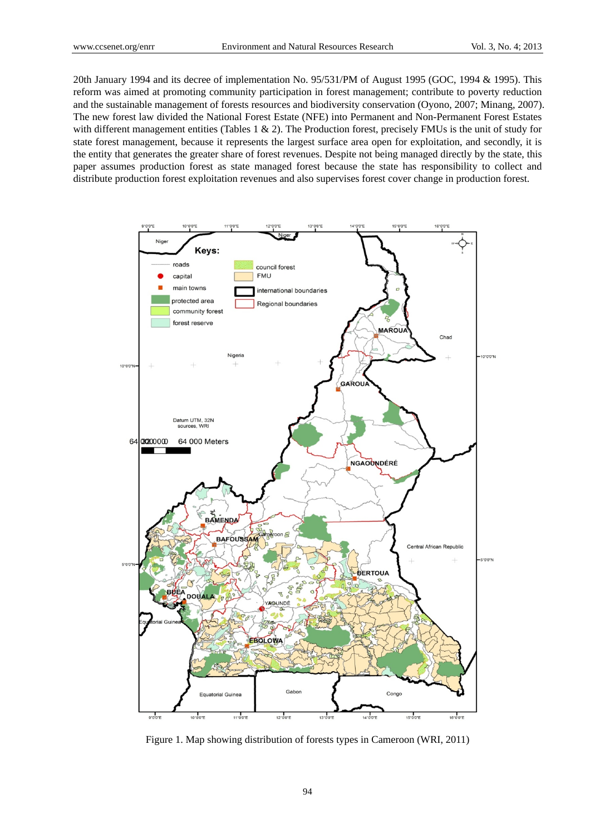20th January 1994 and its decree of implementation No. 95/531/PM of August 1995 (GOC, 1994 & 1995). This reform was aimed at promoting community participation in forest management; contribute to poverty reduction and the sustainable management of forests resources and biodiversity conservation (Oyono, 2007; Minang, 2007). The new forest law divided the National Forest Estate (NFE) into Permanent and Non-Permanent Forest Estates with different management entities (Tables 1  $\&$  2). The Production forest, precisely FMUs is the unit of study for state forest management, because it represents the largest surface area open for exploitation, and secondly, it is the entity that generates the greater share of forest revenues. Despite not being managed directly by the state, this paper assumes production forest as state managed forest because the state has responsibility to collect and distribute production forest exploitation revenues and also supervises forest cover change in production forest.



Figure 1. Map showing distribution of forests types in Cameroon (WRI, 2011)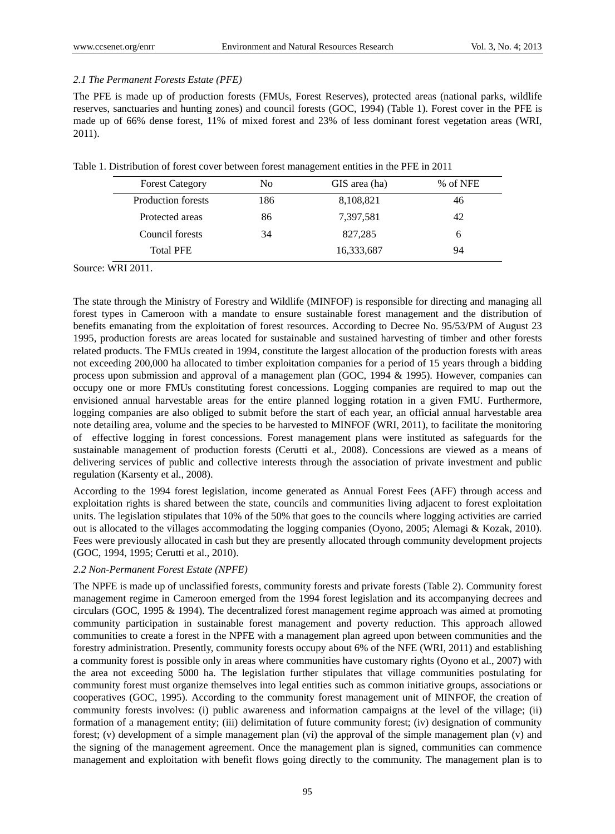## *2.1 The Permanent Forests Estate (PFE)*

The PFE is made up of production forests (FMUs, Forest Reserves), protected areas (national parks, wildlife reserves, sanctuaries and hunting zones) and council forests (GOC, 1994) (Table 1). Forest cover in the PFE is made up of 66% dense forest, 11% of mixed forest and 23% of less dominant forest vegetation areas (WRI, 2011).

|                        |     | ັ             |          |
|------------------------|-----|---------------|----------|
| <b>Forest Category</b> | No  | GIS area (ha) | % of NFE |
| Production forests     | 186 | 8,108,821     | 46       |
| Protected areas        | 86  | 7,397,581     | 42       |
| Council forests        | 34  | 827,285       | 6        |
| <b>Total PFE</b>       |     | 16,333,687    | 94       |

Table 1. Distribution of forest cover between forest management entities in the PFE in 2011

Source: WRI 2011.

The state through the Ministry of Forestry and Wildlife (MINFOF) is responsible for directing and managing all forest types in Cameroon with a mandate to ensure sustainable forest management and the distribution of benefits emanating from the exploitation of forest resources. According to Decree No. 95/53/PM of August 23 1995, production forests are areas located for sustainable and sustained harvesting of timber and other forests related products. The FMUs created in 1994, constitute the largest allocation of the production forests with areas not exceeding 200,000 ha allocated to timber exploitation companies for a period of 15 years through a bidding process upon submission and approval of a management plan (GOC, 1994 & 1995). However, companies can occupy one or more FMUs constituting forest concessions. Logging companies are required to map out the envisioned annual harvestable areas for the entire planned logging rotation in a given FMU. Furthermore, logging companies are also obliged to submit before the start of each year, an official annual harvestable area note detailing area, volume and the species to be harvested to MINFOF (WRI, 2011), to facilitate the monitoring of effective logging in forest concessions. Forest management plans were instituted as safeguards for the sustainable management of production forests (Cerutti et al., 2008). Concessions are viewed as a means of delivering services of public and collective interests through the association of private investment and public regulation (Karsenty et al., 2008).

According to the 1994 forest legislation, income generated as Annual Forest Fees (AFF) through access and exploitation rights is shared between the state, councils and communities living adjacent to forest exploitation units. The legislation stipulates that 10% of the 50% that goes to the councils where logging activities are carried out is allocated to the villages accommodating the logging companies (Oyono, 2005; Alemagi & Kozak, 2010). Fees were previously allocated in cash but they are presently allocated through community development projects (GOC, 1994, 1995; Cerutti et al., 2010).

#### *2.2 Non-Permanent Forest Estate (NPFE)*

The NPFE is made up of unclassified forests, community forests and private forests (Table 2). Community forest management regime in Cameroon emerged from the 1994 forest legislation and its accompanying decrees and circulars (GOC, 1995 & 1994). The decentralized forest management regime approach was aimed at promoting community participation in sustainable forest management and poverty reduction. This approach allowed communities to create a forest in the NPFE with a management plan agreed upon between communities and the forestry administration. Presently, community forests occupy about 6% of the NFE (WRI, 2011) and establishing a community forest is possible only in areas where communities have customary rights (Oyono et al., 2007) with the area not exceeding 5000 ha. The legislation further stipulates that village communities postulating for community forest must organize themselves into legal entities such as common initiative groups, associations or cooperatives (GOC, 1995). According to the community forest management unit of MINFOF, the creation of community forests involves: (i) public awareness and information campaigns at the level of the village; (ii) formation of a management entity; (iii) delimitation of future community forest; (iv) designation of community forest; (v) development of a simple management plan (vi) the approval of the simple management plan (v) and the signing of the management agreement. Once the management plan is signed, communities can commence management and exploitation with benefit flows going directly to the community. The management plan is to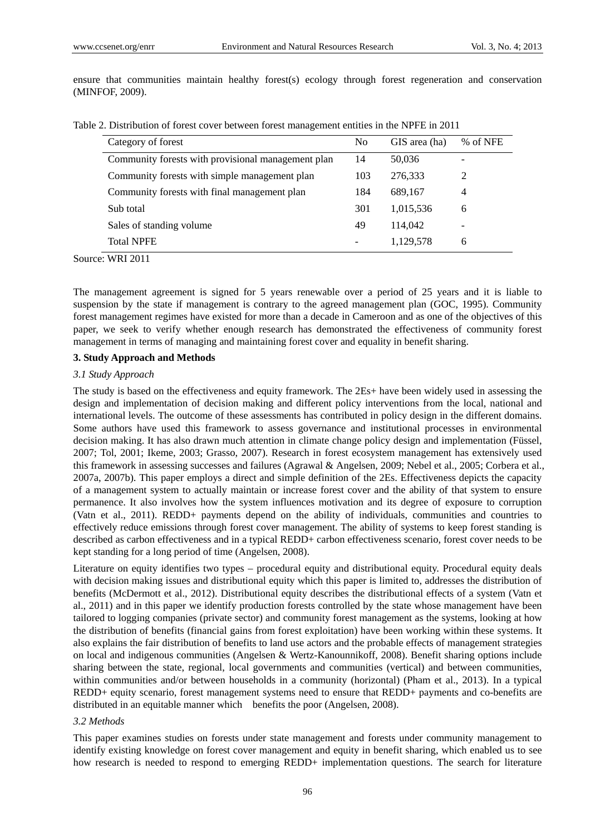ensure that communities maintain healthy forest(s) ecology through forest regeneration and conservation (MINFOF, 2009).

Table 2. Distribution of forest cover between forest management entities in the NPFE in 2011

| Category of forest                                 | N <sub>0</sub>           | GIS area (ha) | % of NFE       |
|----------------------------------------------------|--------------------------|---------------|----------------|
| Community forests with provisional management plan | 14                       | 50,036        |                |
| Community forests with simple management plan      | 103                      | 276,333       | 2              |
| Community forests with final management plan       | 184                      | 689,167       | $\overline{4}$ |
| Sub total                                          | 301                      | 1,015,536     | 6              |
| Sales of standing volume                           | 49                       | 114,042       |                |
| <b>Total NPFE</b>                                  | $\overline{\phantom{a}}$ | 1,129,578     | 6              |

Source: WRI 2011

The management agreement is signed for 5 years renewable over a period of 25 years and it is liable to suspension by the state if management is contrary to the agreed management plan (GOC, 1995). Community forest management regimes have existed for more than a decade in Cameroon and as one of the objectives of this paper, we seek to verify whether enough research has demonstrated the effectiveness of community forest management in terms of managing and maintaining forest cover and equality in benefit sharing.

#### **3. Study Approach and Methods**

## *3.1 Study Approach*

The study is based on the effectiveness and equity framework. The 2Es+ have been widely used in assessing the design and implementation of decision making and different policy interventions from the local, national and international levels. The outcome of these assessments has contributed in policy design in the different domains. Some authors have used this framework to assess governance and institutional processes in environmental decision making. It has also drawn much attention in climate change policy design and implementation (Füssel, 2007; Tol, 2001; Ikeme, 2003; Grasso, 2007). Research in forest ecosystem management has extensively used this framework in assessing successes and failures (Agrawal & Angelsen, 2009; Nebel et al., 2005; Corbera et al., 2007a, 2007b). This paper employs a direct and simple definition of the 2Es. Effectiveness depicts the capacity of a management system to actually maintain or increase forest cover and the ability of that system to ensure permanence. It also involves how the system influences motivation and its degree of exposure to corruption (Vatn et al., 2011). REDD+ payments depend on the ability of individuals, communities and countries to effectively reduce emissions through forest cover management. The ability of systems to keep forest standing is described as carbon effectiveness and in a typical REDD+ carbon effectiveness scenario, forest cover needs to be kept standing for a long period of time (Angelsen, 2008).

Literature on equity identifies two types – procedural equity and distributional equity. Procedural equity deals with decision making issues and distributional equity which this paper is limited to, addresses the distribution of benefits (McDermott et al., 2012). Distributional equity describes the distributional effects of a system (Vatn et al., 2011) and in this paper we identify production forests controlled by the state whose management have been tailored to logging companies (private sector) and community forest management as the systems, looking at how the distribution of benefits (financial gains from forest exploitation) have been working within these systems. It also explains the fair distribution of benefits to land use actors and the probable effects of management strategies on local and indigenous communities (Angelsen & Wertz-Kanounnikoff, 2008). Benefit sharing options include sharing between the state, regional, local governments and communities (vertical) and between communities, within communities and/or between households in a community (horizontal) (Pham et al., 2013). In a typical REDD+ equity scenario, forest management systems need to ensure that REDD+ payments and co-benefits are distributed in an equitable manner which benefits the poor (Angelsen, 2008).

# *3.2 Methods*

This paper examines studies on forests under state management and forests under community management to identify existing knowledge on forest cover management and equity in benefit sharing, which enabled us to see how research is needed to respond to emerging REDD+ implementation questions. The search for literature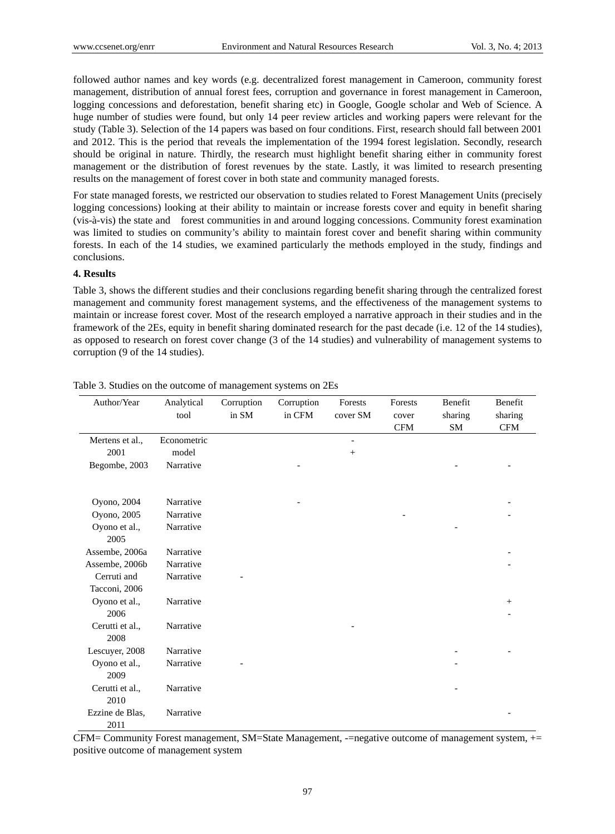followed author names and key words (e.g. decentralized forest management in Cameroon, community forest management, distribution of annual forest fees, corruption and governance in forest management in Cameroon, logging concessions and deforestation, benefit sharing etc) in Google, Google scholar and Web of Science. A huge number of studies were found, but only 14 peer review articles and working papers were relevant for the study (Table 3). Selection of the 14 papers was based on four conditions. First, research should fall between 2001 and 2012. This is the period that reveals the implementation of the 1994 forest legislation. Secondly, research should be original in nature. Thirdly, the research must highlight benefit sharing either in community forest management or the distribution of forest revenues by the state. Lastly, it was limited to research presenting results on the management of forest cover in both state and community managed forests.

For state managed forests, we restricted our observation to studies related to Forest Management Units (precisely logging concessions) looking at their ability to maintain or increase forests cover and equity in benefit sharing (vis-à-vis) the state and forest communities in and around logging concessions. Community forest examination was limited to studies on community's ability to maintain forest cover and benefit sharing within community forests. In each of the 14 studies, we examined particularly the methods employed in the study, findings and conclusions.

## **4. Results**

Table 3, shows the different studies and their conclusions regarding benefit sharing through the centralized forest management and community forest management systems, and the effectiveness of the management systems to maintain or increase forest cover. Most of the research employed a narrative approach in their studies and in the framework of the 2Es, equity in benefit sharing dominated research for the past decade (i.e. 12 of the 14 studies), as opposed to research on forest cover change (3 of the 14 studies) and vulnerability of management systems to corruption (9 of the 14 studies).

| Author/Year     | Analytical<br>tool | Corruption<br>in SM | Corruption<br>in CFM | Forests<br>cover SM | Forests<br>cover | Benefit<br>sharing | Benefit<br>sharing |
|-----------------|--------------------|---------------------|----------------------|---------------------|------------------|--------------------|--------------------|
|                 |                    |                     |                      |                     | <b>CFM</b>       | SM                 | <b>CFM</b>         |
| Mertens et al., | Econometric        |                     |                      | -                   |                  |                    |                    |
| 2001            | model              |                     |                      | $+$                 |                  |                    |                    |
| Begombe, 2003   | Narrative          |                     |                      |                     |                  |                    |                    |
|                 |                    |                     |                      |                     |                  |                    |                    |
| Oyono, 2004     | Narrative          |                     |                      |                     |                  |                    |                    |
| Oyono, 2005     | Narrative          |                     |                      |                     |                  |                    |                    |
| Oyono et al.,   | Narrative          |                     |                      |                     |                  |                    |                    |
| 2005            |                    |                     |                      |                     |                  |                    |                    |
| Assembe, 2006a  | Narrative          |                     |                      |                     |                  |                    |                    |
| Assembe, 2006b  | Narrative          |                     |                      |                     |                  |                    |                    |
| Cerruti and     | Narrative          |                     |                      |                     |                  |                    |                    |
| Tacconi, 2006   |                    |                     |                      |                     |                  |                    |                    |
| Oyono et al.,   | Narrative          |                     |                      |                     |                  |                    | $+$                |
| 2006            |                    |                     |                      |                     |                  |                    |                    |
| Cerutti et al., | Narrative          |                     |                      |                     |                  |                    |                    |
| 2008            |                    |                     |                      |                     |                  |                    |                    |
| Lescuyer, 2008  | Narrative          |                     |                      |                     |                  |                    |                    |
| Oyono et al.,   | Narrative          |                     |                      |                     |                  |                    |                    |
| 2009            |                    |                     |                      |                     |                  |                    |                    |
| Cerutti et al., | Narrative          |                     |                      |                     |                  |                    |                    |
| 2010            |                    |                     |                      |                     |                  |                    |                    |
| Ezzine de Blas, | Narrative          |                     |                      |                     |                  |                    |                    |
| 2011            |                    |                     |                      |                     |                  |                    |                    |

Table 3. Studies on the outcome of management systems on 2Es

CFM= Community Forest management, SM=State Management, -=negative outcome of management system, += positive outcome of management system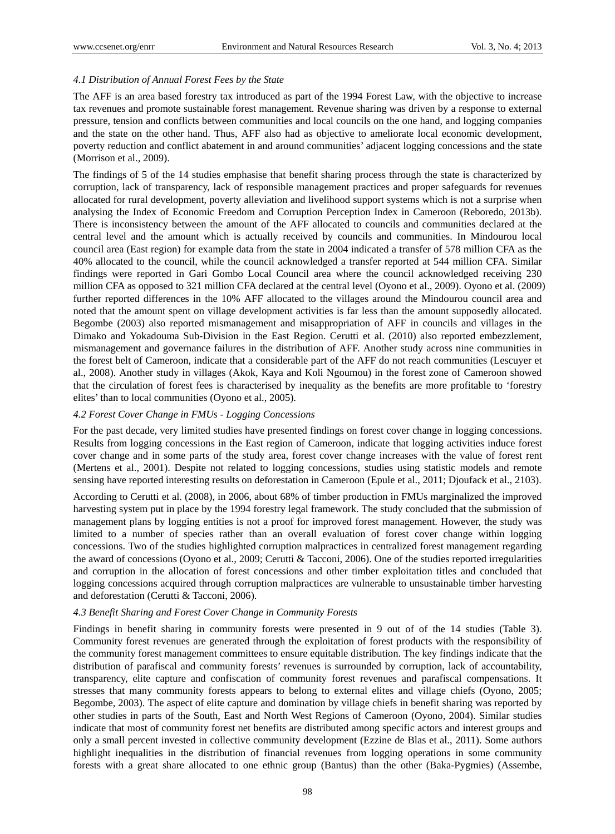#### *4.1 Distribution of Annual Forest Fees by the State*

The AFF is an area based forestry tax introduced as part of the 1994 Forest Law, with the objective to increase tax revenues and promote sustainable forest management. Revenue sharing was driven by a response to external pressure, tension and conflicts between communities and local councils on the one hand, and logging companies and the state on the other hand. Thus, AFF also had as objective to ameliorate local economic development, poverty reduction and conflict abatement in and around communities' adjacent logging concessions and the state (Morrison et al., 2009).

The findings of 5 of the 14 studies emphasise that benefit sharing process through the state is characterized by corruption, lack of transparency, lack of responsible management practices and proper safeguards for revenues allocated for rural development, poverty alleviation and livelihood support systems which is not a surprise when analysing the Index of Economic Freedom and Corruption Perception Index in Cameroon (Reboredo, 2013b). There is inconsistency between the amount of the AFF allocated to councils and communities declared at the central level and the amount which is actually received by councils and communities. In Mindourou local council area (East region) for example data from the state in 2004 indicated a transfer of 578 million CFA as the 40% allocated to the council, while the council acknowledged a transfer reported at 544 million CFA. Similar findings were reported in Gari Gombo Local Council area where the council acknowledged receiving 230 million CFA as opposed to 321 million CFA declared at the central level (Oyono et al., 2009). Oyono et al. (2009) further reported differences in the 10% AFF allocated to the villages around the Mindourou council area and noted that the amount spent on village development activities is far less than the amount supposedly allocated. Begombe (2003) also reported mismanagement and misappropriation of AFF in councils and villages in the Dimako and Yokadouma Sub-Division in the East Region. Cerutti et al. (2010) also reported embezzlement, mismanagement and governance failures in the distribution of AFF. Another study across nine communities in the forest belt of Cameroon, indicate that a considerable part of the AFF do not reach communities (Lescuyer et al., 2008). Another study in villages (Akok, Kaya and Koli Ngoumou) in the forest zone of Cameroon showed that the circulation of forest fees is characterised by inequality as the benefits are more profitable to 'forestry elites' than to local communities (Oyono et al., 2005).

#### *4.2 Forest Cover Change in FMUs - Logging Concessions*

For the past decade, very limited studies have presented findings on forest cover change in logging concessions. Results from logging concessions in the East region of Cameroon, indicate that logging activities induce forest cover change and in some parts of the study area, forest cover change increases with the value of forest rent (Mertens et al., 2001). Despite not related to logging concessions, studies using statistic models and remote sensing have reported interesting results on deforestation in Cameroon (Epule et al., 2011; Djoufack et al., 2103).

According to Cerutti et al. (2008), in 2006, about 68% of timber production in FMUs marginalized the improved harvesting system put in place by the 1994 forestry legal framework. The study concluded that the submission of management plans by logging entities is not a proof for improved forest management. However, the study was limited to a number of species rather than an overall evaluation of forest cover change within logging concessions. Two of the studies highlighted corruption malpractices in centralized forest management regarding the award of concessions (Oyono et al., 2009; Cerutti & Tacconi, 2006). One of the studies reported irregularities and corruption in the allocation of forest concessions and other timber exploitation titles and concluded that logging concessions acquired through corruption malpractices are vulnerable to unsustainable timber harvesting and deforestation (Cerutti & Tacconi, 2006).

#### *4.3 Benefit Sharing and Forest Cover Change in Community Forests*

Findings in benefit sharing in community forests were presented in 9 out of of the 14 studies (Table 3). Community forest revenues are generated through the exploitation of forest products with the responsibility of the community forest management committees to ensure equitable distribution. The key findings indicate that the distribution of parafiscal and community forests' revenues is surrounded by corruption, lack of accountability, transparency, elite capture and confiscation of community forest revenues and parafiscal compensations. It stresses that many community forests appears to belong to external elites and village chiefs (Oyono, 2005; Begombe, 2003). The aspect of elite capture and domination by village chiefs in benefit sharing was reported by other studies in parts of the South, East and North West Regions of Cameroon (Oyono, 2004). Similar studies indicate that most of community forest net benefits are distributed among specific actors and interest groups and only a small percent invested in collective community development (Ezzine de Blas et al., 2011). Some authors highlight inequalities in the distribution of financial revenues from logging operations in some community forests with a great share allocated to one ethnic group (Bantus) than the other (Baka-Pygmies) (Assembe,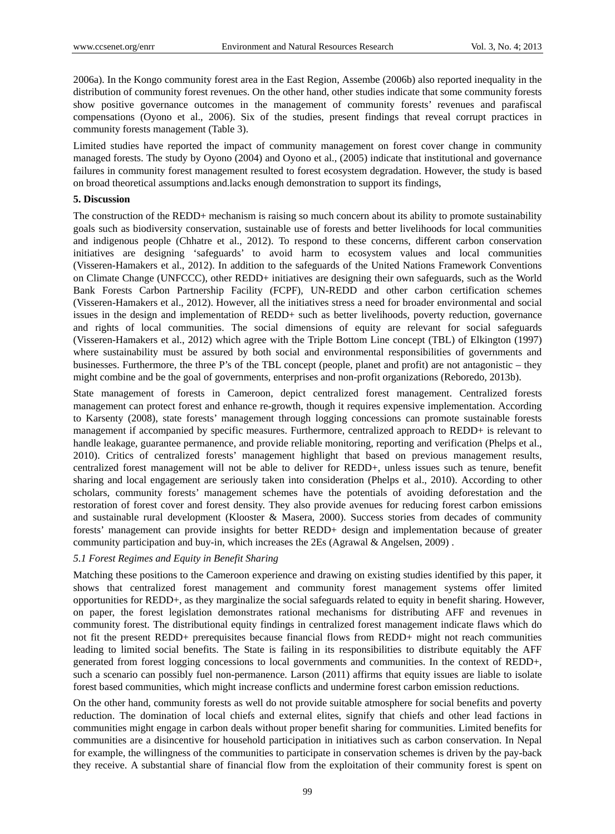2006a). In the Kongo community forest area in the East Region, Assembe (2006b) also reported inequality in the distribution of community forest revenues. On the other hand, other studies indicate that some community forests show positive governance outcomes in the management of community forests' revenues and parafiscal compensations (Oyono et al., 2006). Six of the studies, present findings that reveal corrupt practices in community forests management (Table 3).

Limited studies have reported the impact of community management on forest cover change in community managed forests. The study by Oyono (2004) and Oyono et al., (2005) indicate that institutional and governance failures in community forest management resulted to forest ecosystem degradation. However, the study is based on broad theoretical assumptions and.lacks enough demonstration to support its findings,

#### **5. Discussion**

The construction of the REDD+ mechanism is raising so much concern about its ability to promote sustainability goals such as biodiversity conservation, sustainable use of forests and better livelihoods for local communities and indigenous people (Chhatre et al., 2012). To respond to these concerns, different carbon conservation initiatives are designing 'safeguards' to avoid harm to ecosystem values and local communities (Visseren-Hamakers et al., 2012). In addition to the safeguards of the United Nations Framework Conventions on Climate Change (UNFCCC), other REDD+ initiatives are designing their own safeguards, such as the World Bank Forests Carbon Partnership Facility (FCPF), UN-REDD and other carbon certification schemes (Visseren-Hamakers et al., 2012). However, all the initiatives stress a need for broader environmental and social issues in the design and implementation of REDD+ such as better livelihoods, poverty reduction, governance and rights of local communities. The social dimensions of equity are relevant for social safeguards (Visseren-Hamakers et al., 2012) which agree with the Triple Bottom Line concept (TBL) of Elkington (1997) where sustainability must be assured by both social and environmental responsibilities of governments and businesses. Furthermore, the three P's of the TBL concept (people, planet and profit) are not antagonistic – they might combine and be the goal of governments, enterprises and non-profit organizations (Reboredo, 2013b).

State management of forests in Cameroon, depict centralized forest management. Centralized forests management can protect forest and enhance re-growth, though it requires expensive implementation. According to Karsenty (2008), state forests' management through logging concessions can promote sustainable forests management if accompanied by specific measures. Furthermore, centralized approach to REDD+ is relevant to handle leakage, guarantee permanence, and provide reliable monitoring, reporting and verification (Phelps et al., 2010). Critics of centralized forests' management highlight that based on previous management results, centralized forest management will not be able to deliver for REDD+, unless issues such as tenure, benefit sharing and local engagement are seriously taken into consideration (Phelps et al., 2010). According to other scholars, community forests' management schemes have the potentials of avoiding deforestation and the restoration of forest cover and forest density. They also provide avenues for reducing forest carbon emissions and sustainable rural development (Klooster & Masera, 2000). Success stories from decades of community forests' management can provide insights for better REDD+ design and implementation because of greater community participation and buy-in, which increases the 2Es (Agrawal & Angelsen, 2009) .

# *5.1 Forest Regimes and Equity in Benefit Sharing*

Matching these positions to the Cameroon experience and drawing on existing studies identified by this paper, it shows that centralized forest management and community forest management systems offer limited opportunities for REDD+, as they marginalize the social safeguards related to equity in benefit sharing. However, on paper, the forest legislation demonstrates rational mechanisms for distributing AFF and revenues in community forest. The distributional equity findings in centralized forest management indicate flaws which do not fit the present REDD+ prerequisites because financial flows from REDD+ might not reach communities leading to limited social benefits. The State is failing in its responsibilities to distribute equitably the AFF generated from forest logging concessions to local governments and communities. In the context of REDD+, such a scenario can possibly fuel non-permanence. Larson (2011) affirms that equity issues are liable to isolate forest based communities, which might increase conflicts and undermine forest carbon emission reductions.

On the other hand, community forests as well do not provide suitable atmosphere for social benefits and poverty reduction. The domination of local chiefs and external elites, signify that chiefs and other lead factions in communities might engage in carbon deals without proper benefit sharing for communities. Limited benefits for communities are a disincentive for household participation in initiatives such as carbon conservation. In Nepal for example, the willingness of the communities to participate in conservation schemes is driven by the pay-back they receive. A substantial share of financial flow from the exploitation of their community forest is spent on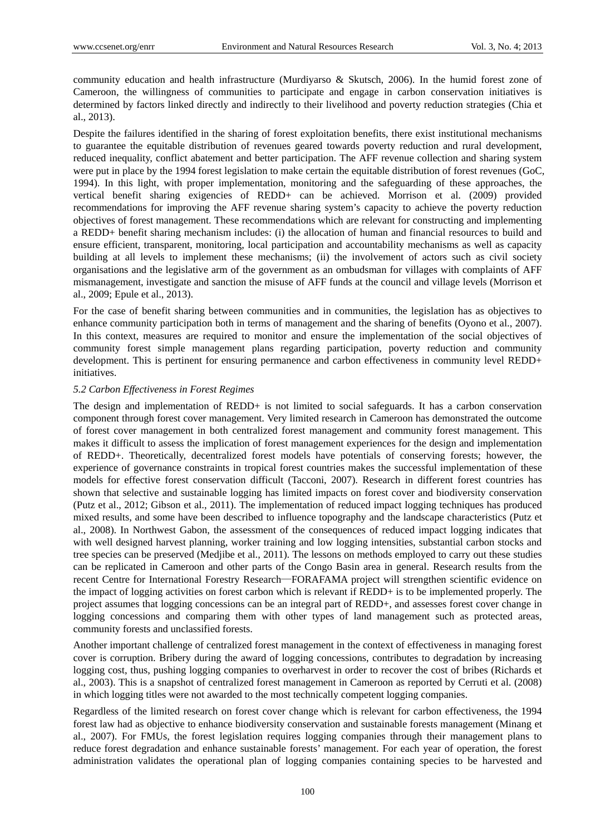community education and health infrastructure (Murdiyarso & Skutsch, 2006). In the humid forest zone of Cameroon, the willingness of communities to participate and engage in carbon conservation initiatives is determined by factors linked directly and indirectly to their livelihood and poverty reduction strategies (Chia et al., 2013).

Despite the failures identified in the sharing of forest exploitation benefits, there exist institutional mechanisms to guarantee the equitable distribution of revenues geared towards poverty reduction and rural development, reduced inequality, conflict abatement and better participation. The AFF revenue collection and sharing system were put in place by the 1994 forest legislation to make certain the equitable distribution of forest revenues (GoC, 1994). In this light, with proper implementation, monitoring and the safeguarding of these approaches, the vertical benefit sharing exigencies of REDD+ can be achieved. Morrison et al. (2009) provided recommendations for improving the AFF revenue sharing system's capacity to achieve the poverty reduction objectives of forest management. These recommendations which are relevant for constructing and implementing a REDD+ benefit sharing mechanism includes: (i) the allocation of human and financial resources to build and ensure efficient, transparent, monitoring, local participation and accountability mechanisms as well as capacity building at all levels to implement these mechanisms; (ii) the involvement of actors such as civil society organisations and the legislative arm of the government as an ombudsman for villages with complaints of AFF mismanagement, investigate and sanction the misuse of AFF funds at the council and village levels (Morrison et al., 2009; Epule et al., 2013).

For the case of benefit sharing between communities and in communities, the legislation has as objectives to enhance community participation both in terms of management and the sharing of benefits (Oyono et al., 2007). In this context, measures are required to monitor and ensure the implementation of the social objectives of community forest simple management plans regarding participation, poverty reduction and community development. This is pertinent for ensuring permanence and carbon effectiveness in community level REDD+ initiatives.

#### *5.2 Carbon Effectiveness in Forest Regimes*

The design and implementation of  $REDD+$  is not limited to social safeguards. It has a carbon conservation component through forest cover management. Very limited research in Cameroon has demonstrated the outcome of forest cover management in both centralized forest management and community forest management. This makes it difficult to assess the implication of forest management experiences for the design and implementation of REDD+. Theoretically, decentralized forest models have potentials of conserving forests; however, the experience of governance constraints in tropical forest countries makes the successful implementation of these models for effective forest conservation difficult (Tacconi, 2007). Research in different forest countries has shown that selective and sustainable logging has limited impacts on forest cover and biodiversity conservation (Putz et al., 2012; Gibson et al., 2011). The implementation of reduced impact logging techniques has produced mixed results, and some have been described to influence topography and the landscape characteristics (Putz et al., 2008). In Northwest Gabon, the assessment of the consequences of reduced impact logging indicates that with well designed harvest planning, worker training and low logging intensities, substantial carbon stocks and tree species can be preserved (Medjibe et al., 2011). The lessons on methods employed to carry out these studies can be replicated in Cameroon and other parts of the Congo Basin area in general. Research results from the recent Centre for International Forestry Research—FORAFAMA project will strengthen scientific evidence on the impact of logging activities on forest carbon which is relevant if REDD+ is to be implemented properly. The project assumes that logging concessions can be an integral part of REDD+, and assesses forest cover change in logging concessions and comparing them with other types of land management such as protected areas, community forests and unclassified forests.

Another important challenge of centralized forest management in the context of effectiveness in managing forest cover is corruption. Bribery during the award of logging concessions, contributes to degradation by increasing logging cost, thus, pushing logging companies to overharvest in order to recover the cost of bribes (Richards et al., 2003). This is a snapshot of centralized forest management in Cameroon as reported by Cerruti et al. (2008) in which logging titles were not awarded to the most technically competent logging companies.

Regardless of the limited research on forest cover change which is relevant for carbon effectiveness, the 1994 forest law had as objective to enhance biodiversity conservation and sustainable forests management (Minang et al., 2007). For FMUs, the forest legislation requires logging companies through their management plans to reduce forest degradation and enhance sustainable forests' management. For each year of operation, the forest administration validates the operational plan of logging companies containing species to be harvested and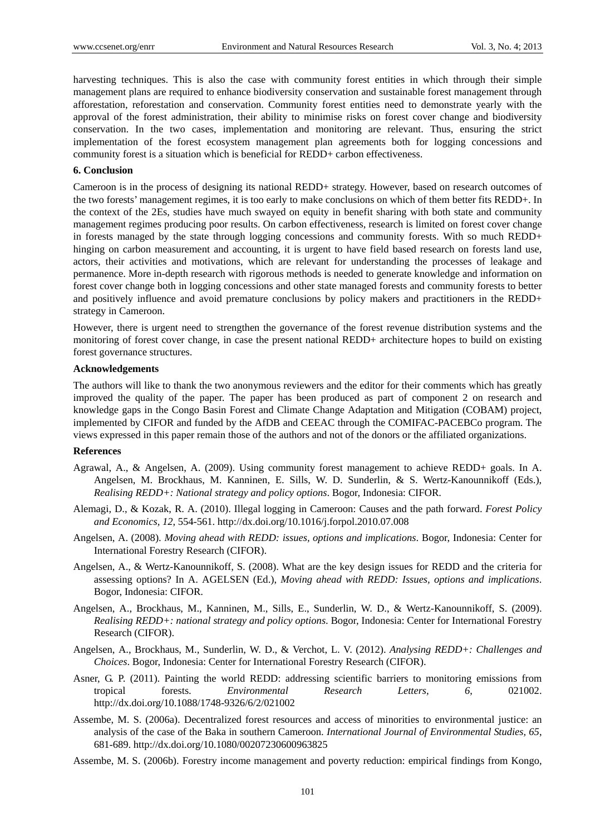harvesting techniques. This is also the case with community forest entities in which through their simple management plans are required to enhance biodiversity conservation and sustainable forest management through afforestation, reforestation and conservation. Community forest entities need to demonstrate yearly with the approval of the forest administration, their ability to minimise risks on forest cover change and biodiversity conservation. In the two cases, implementation and monitoring are relevant. Thus, ensuring the strict implementation of the forest ecosystem management plan agreements both for logging concessions and community forest is a situation which is beneficial for REDD+ carbon effectiveness.

#### **6. Conclusion**

Cameroon is in the process of designing its national REDD+ strategy. However, based on research outcomes of the two forests' management regimes, it is too early to make conclusions on which of them better fits REDD+. In the context of the 2Es, studies have much swayed on equity in benefit sharing with both state and community management regimes producing poor results. On carbon effectiveness, research is limited on forest cover change in forests managed by the state through logging concessions and community forests. With so much REDD+ hinging on carbon measurement and accounting, it is urgent to have field based research on forests land use, actors, their activities and motivations, which are relevant for understanding the processes of leakage and permanence. More in-depth research with rigorous methods is needed to generate knowledge and information on forest cover change both in logging concessions and other state managed forests and community forests to better and positively influence and avoid premature conclusions by policy makers and practitioners in the REDD+ strategy in Cameroon.

However, there is urgent need to strengthen the governance of the forest revenue distribution systems and the monitoring of forest cover change, in case the present national REDD+ architecture hopes to build on existing forest governance structures.

#### **Acknowledgements**

The authors will like to thank the two anonymous reviewers and the editor for their comments which has greatly improved the quality of the paper. The paper has been produced as part of component 2 on research and knowledge gaps in the Congo Basin Forest and Climate Change Adaptation and Mitigation (COBAM) project, implemented by CIFOR and funded by the AfDB and CEEAC through the COMIFAC-PACEBCo program. The views expressed in this paper remain those of the authors and not of the donors or the affiliated organizations.

# **References**

- Agrawal, A., & Angelsen, A. (2009). Using community forest management to achieve REDD+ goals. In A. Angelsen, M. Brockhaus, M. Kanninen, E. Sills, W. D. Sunderlin, & S. Wertz-Kanounnikoff (Eds.), *Realising REDD+: National strategy and policy options*. Bogor, Indonesia: CIFOR.
- Alemagi, D., & Kozak, R. A. (2010). Illegal logging in Cameroon: Causes and the path forward. *Forest Policy and Economics, 12*, 554-561. http://dx.doi.org/10.1016/j.forpol.2010.07.008
- Angelsen, A. (2008). *Moving ahead with REDD: issues, options and implications*. Bogor, Indonesia: Center for International Forestry Research (CIFOR).
- Angelsen, A., & Wertz-Kanounnikoff, S. (2008). What are the key design issues for REDD and the criteria for assessing options? In A. AGELSEN (Ed.), *Moving ahead with REDD: Issues, options and implications*. Bogor, Indonesia: CIFOR.
- Angelsen, A., Brockhaus, M., Kanninen, M., Sills, E., Sunderlin, W. D., & Wertz-Kanounnikoff, S. (2009). *Realising REDD+: national strategy and policy options*. Bogor, Indonesia: Center for International Forestry Research (CIFOR).
- Angelsen, A., Brockhaus, M., Sunderlin, W. D., & Verchot, L. V. (2012). *Analysing REDD+: Challenges and Choices*. Bogor, Indonesia: Center for International Forestry Research (CIFOR).
- Asner, G. P. (2011). Painting the world REDD: addressing scientific barriers to monitoring emissions from tropical forests. *Environmental Research Letters, 6*, 021002. http://dx.doi.org/10.1088/1748-9326/6/2/021002
- Assembe, M. S. (2006a). Decentralized forest resources and access of minorities to environmental justice: an analysis of the case of the Baka in southern Cameroon. *International Journal of Environmental Studies, 65*, 681-689. http://dx.doi.org/10.1080/00207230600963825
- Assembe, M. S. (2006b). Forestry income management and poverty reduction: empirical findings from Kongo,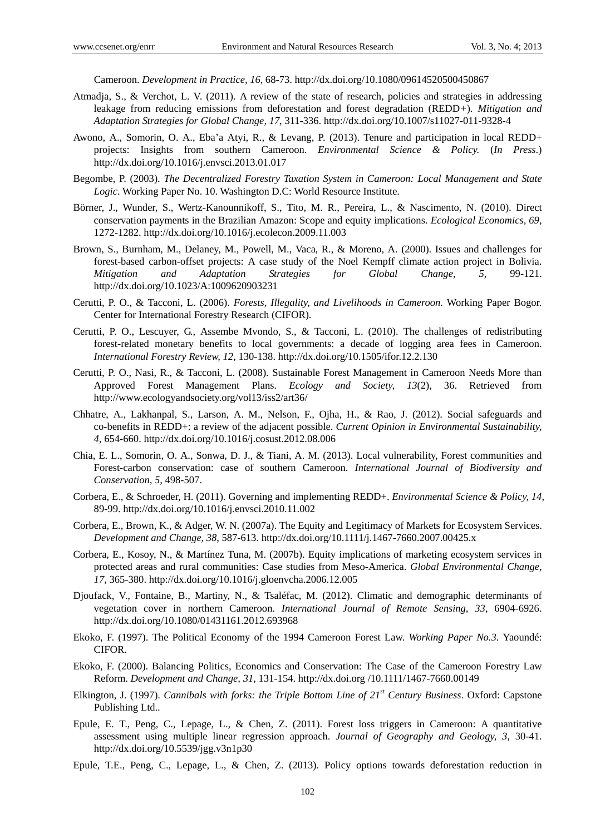Cameroon. *Development in Practice, 16*, 68-73. http://dx.doi.org/10.1080/09614520500450867

- Atmadja, S., & Verchot, L. V. (2011). A review of the state of research, policies and strategies in addressing leakage from reducing emissions from deforestation and forest degradation (REDD*+*)*. Mitigation and Adaptation Strategies for Global Change, 17*, 311-336. http://dx.doi.org/10.1007/s11027-011-9328-4
- Awono, A., Somorin, O. A., Eba'a Atyi, R., & Levang, P. (2013). Tenure and participation in local REDD+ projects: Insights from southern Cameroon. *Environmental Science & Policy.* (*In Press*.) http://dx.doi.org/10.1016/j.envsci.2013.01.017
- Begombe, P. (2003). *The Decentralized Forestry Taxation System in Cameroon: Local Management and State Logic*. Working Paper No. 10. Washington D.C: World Resource Institute.
- Börner, J., Wunder, S., Wertz-Kanounnikoff, S., Tito, M. R., Pereira, L., & Nascimento, N. (2010). Direct conservation payments in the Brazilian Amazon: Scope and equity implications. *Ecological Economics, 69*, 1272-1282. http://dx.doi.org/10.1016/j.ecolecon.2009.11.003
- Brown, S., Burnham, M., Delaney, M., Powell, M., Vaca, R., & Moreno, A. (2000). Issues and challenges for forest-based carbon-offset projects: A case study of the Noel Kempff climate action project in Bolivia. *Mitigation and Adaptation Strategies for Global Change, 5*, 99-121. http://dx.doi.org/10.1023/A:1009620903231
- Cerutti, P. O., & Tacconi, L. (2006). *Forests, Illegality, and Livelihoods in Cameroon*. Working Paper Bogor. Center for International Forestry Research (CIFOR).
- Cerutti, P. O., Lescuyer, G., Assembe Mvondo, S., & Tacconi, L. (2010). The challenges of redistributing forest-related monetary benefits to local governments: a decade of logging area fees in Cameroon. *International Forestry Review, 12*, 130-138. http://dx.doi.org/10.1505/ifor.12.2.130
- Cerutti, P. O., Nasi, R., & Tacconi, L. (2008). Sustainable Forest Management in Cameroon Needs More than Approved Forest Management Plans. *Ecology and Society, 13*(2), 36. Retrieved from http://www.ecologyandsociety.org/vol13/iss2/art36/
- Chhatre, A., Lakhanpal, S., Larson, A. M., Nelson, F., Ojha, H., & Rao, J. (2012). Social safeguards and co-benefits in REDD+: a review of the adjacent possible. *Current Opinion in Environmental Sustainability, 4*, 654-660. http://dx.doi.org/10.1016/j.cosust.2012.08.006
- Chia, E. L., Somorin, O. A., Sonwa, D. J., & Tiani, A. M. (2013). Local vulnerability, Forest communities and Forest-carbon conservation: case of southern Cameroon. *International Journal of Biodiversity and Conservation, 5*, 498-507.
- Corbera, E., & Schroeder, H. (2011). Governing and implementing REDD+. *Environmental Science & Policy, 14*, 89-99. http://dx.doi.org/10.1016/j.envsci.2010.11.002
- Corbera, E., Brown, K., & Adger, W. N. (2007a). The Equity and Legitimacy of Markets for Ecosystem Services. *Development and Change, 38*, 587-613. http://dx.doi.org/10.1111/j.1467-7660.2007.00425.x
- Corbera, E., Kosoy, N., & Martínez Tuna, M. (2007b). Equity implications of marketing ecosystem services in protected areas and rural communities: Case studies from Meso-America. *Global Environmental Change, 17*, 365-380. http://dx.doi.org/10.1016/j.gloenvcha.2006.12.005
- Djoufack, V., Fontaine, B., Martiny, N., & Tsaléfac, M. (2012). Climatic and demographic determinants of vegetation cover in northern Cameroon. *International Journal of Remote Sensing, 33*, 6904-6926. http://dx.doi.org/10.1080/01431161.2012.693968
- Ekoko, F. (1997). The Political Economy of the 1994 Cameroon Forest Law. *Working Paper No.3*. Yaoundé: CIFOR.
- Ekoko, F. (2000). Balancing Politics, Economics and Conservation: The Case of the Cameroon Forestry Law Reform. *Development and Change, 31*, 131-154. http://dx.doi.org /10.1111/1467-7660.00149
- Elkington, J. (1997). *Cannibals with forks: the Triple Bottom Line of 21st Century Business*. Oxford: Capstone Publishing Ltd..
- Epule, E. T., Peng, C., Lepage, L., & Chen, Z. (2011). Forest loss triggers in Cameroon: A quantitative assessment using multiple linear regression approach. *Journal of Geography and Geology, 3*, 30-41. http://dx.doi.org/10.5539/jgg.v3n1p30
- Epule, T.E., Peng, C., Lepage, L., & Chen, Z. (2013). Policy options towards deforestation reduction in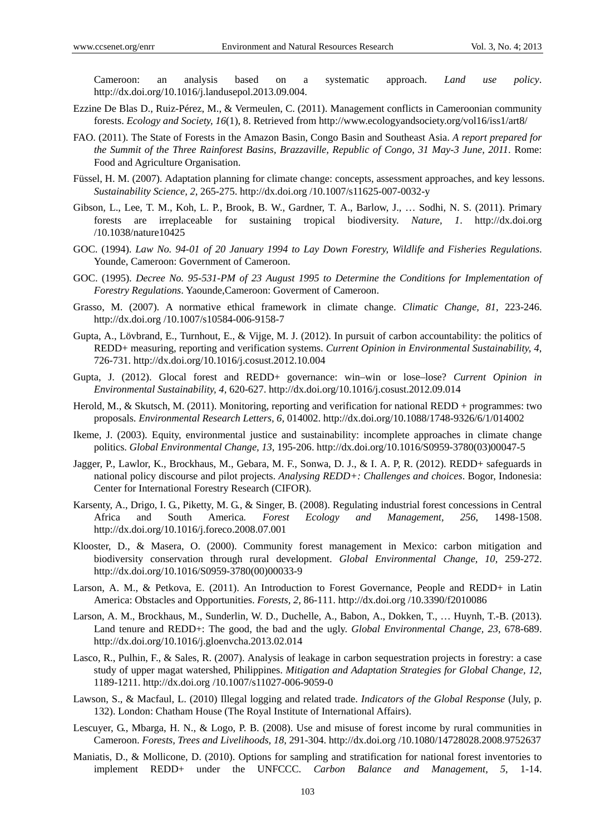Cameroon: an analysis based on a systematic approach. *Land use policy*. http://dx.doi.org/10.1016/j.landusepol.2013.09.004.

- Ezzine De Blas D., Ruiz-Pérez, M., & Vermeulen, C. (2011). Management conflicts in Cameroonian community forests. *Ecology and Society, 16*(1), 8. Retrieved from http://www.ecologyandsociety.org/vol16/iss1/art8/
- FAO. (2011). The State of Forests in the Amazon Basin, Congo Basin and Southeast Asia. *A report prepared for the Summit of the Three Rainforest Basins, Brazzaville, Republic of Congo, 31 May-3 June, 2011*. Rome: Food and Agriculture Organisation.
- Füssel, H. M. (2007). Adaptation planning for climate change: concepts, assessment approaches, and key lessons. *Sustainability Science, 2*, 265-275. http://dx.doi.org /10.1007/s11625-007-0032-y
- Gibson, L., Lee, T. M., Koh, L. P., Brook, B. W., Gardner, T. A., Barlow, J., … Sodhi, N. S. (2011). Primary forests are irreplaceable for sustaining tropical biodiversity. *Nature, 1*. http://dx.doi.org /10.1038/nature10425
- GOC. (1994). *Law No. 94-01 of 20 January 1994 to Lay Down Forestry, Wildlife and Fisheries Regulations*. Younde, Cameroon: Government of Cameroon.
- GOC. (1995). *Decree No. 95-531-PM of 23 August 1995 to Determine the Conditions for Implementation of Forestry Regulations*. Yaounde,Cameroon: Goverment of Cameroon.
- Grasso, M. (2007). A normative ethical framework in climate change. *Climatic Change, 81*, 223-246. http://dx.doi.org /10.1007/s10584-006-9158-7
- Gupta, A., Lövbrand, E., Turnhout, E., & Vijge, M. J. (2012). In pursuit of carbon accountability: the politics of REDD+ measuring, reporting and verification systems. *Current Opinion in Environmental Sustainability, 4*, 726-731. http://dx.doi.org/10.1016/j.cosust.2012.10.004
- Gupta, J. (2012). Glocal forest and REDD+ governance: win–win or lose–lose? *Current Opinion in Environmental Sustainability, 4*, 620-627. http://dx.doi.org/10.1016/j.cosust.2012.09.014
- Herold, M., & Skutsch, M. (2011). Monitoring, reporting and verification for national REDD + programmes: two proposals. *Environmental Research Letters, 6*, 014002. http://dx.doi.org/10.1088/1748-9326/6/1/014002
- Ikeme, J. (2003). Equity, environmental justice and sustainability: incomplete approaches in climate change politics. *Global Environmental Change, 13*, 195-206. http://dx.doi.org/10.1016/S0959-3780(03)00047-5
- Jagger, P., Lawlor, K., Brockhaus, M., Gebara, M. F., Sonwa, D. J., & I. A. P, R. (2012). REDD+ safeguards in national policy discourse and pilot projects. *Analysing REDD+: Challenges and choices*. Bogor, Indonesia: Center for International Forestry Research (CIFOR).
- Karsenty, A., Drigo, I. G., Piketty, M. G., & Singer, B. (2008). Regulating industrial forest concessions in Central Africa and South America*. Forest Ecology and Management, 256*, 1498-1508. http://dx.doi.org/10.1016/j.foreco.2008.07.001
- Klooster, D., & Masera, O. (2000). Community forest management in Mexico: carbon mitigation and biodiversity conservation through rural development. *Global Environmental Change, 10*, 259-272. http://dx.doi.org/10.1016/S0959-3780(00)00033-9
- Larson, A. M., & Petkova, E. (2011). An Introduction to Forest Governance, People and REDD+ in Latin America: Obstacles and Opportunities. *Forests, 2*, 86-111. http://dx.doi.org /10.3390/f2010086
- Larson, A. M., Brockhaus, M., Sunderlin, W. D., Duchelle, A., Babon, A., Dokken, T., … Huynh, T.-B. (2013). Land tenure and REDD+: The good, the bad and the ugly. *Global Environmental Change, 23*, 678-689. http://dx.doi.org/10.1016/j.gloenvcha.2013.02.014
- Lasco, R., Pulhin, F., & Sales, R. (2007). Analysis of leakage in carbon sequestration projects in forestry: a case study of upper magat watershed, Philippines. *Mitigation and Adaptation Strategies for Global Change, 12*, 1189-1211. http://dx.doi.org /10.1007/s11027-006-9059-0
- Lawson, S., & Macfaul, L. (2010) Illegal logging and related trade. *Indicators of the Global Response* (July, p. 132). London: Chatham House (The Royal Institute of International Affairs).
- Lescuyer, G., Mbarga, H. N., & Logo, P. B. (2008). Use and misuse of forest income by rural communities in Cameroon. *Forests, Trees and Livelihoods, 18*, 291-304. http://dx.doi.org /10.1080/14728028.2008.9752637
- Maniatis, D., & Mollicone, D. (2010). Options for sampling and stratification for national forest inventories to implement REDD+ under the UNFCCC. *Carbon Balance and Management, 5*, 1-14.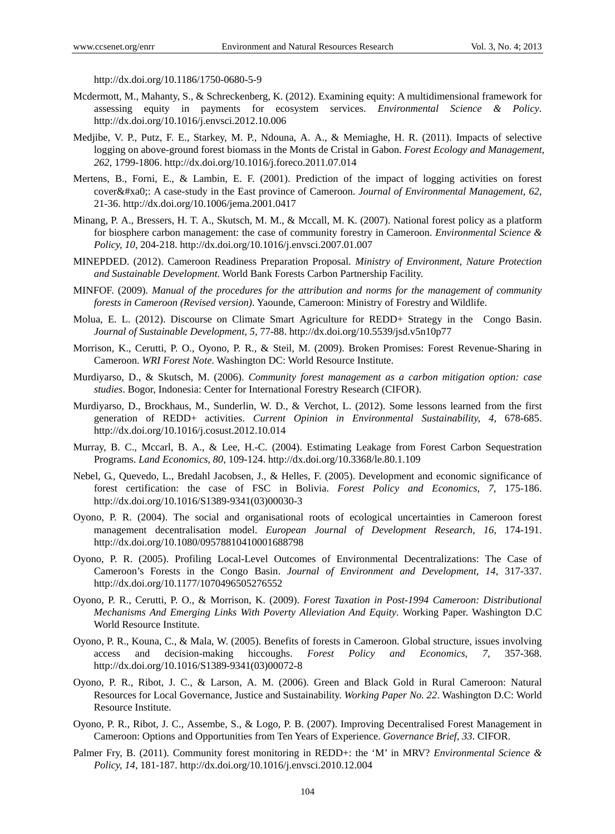http://dx.doi.org/10.1186/1750-0680-5-9

- Mcdermott, M., Mahanty, S., & Schreckenberg, K. (2012). Examining equity: A multidimensional framework for assessing equity in payments for ecosystem services. *Environmental Science & Policy*. http://dx.doi.org/10.1016/j.envsci.2012.10.006
- Medjibe, V. P., Putz, F. E., Starkey, M. P., Ndouna, A. A., & Memiaghe, H. R. (2011). Impacts of selective logging on above-ground forest biomass in the Monts de Cristal in Gabon. *Forest Ecology and Management, 262*, 1799-1806. http://dx.doi.org/10.1016/j.foreco.2011.07.014
- Mertens, B., Forni, E., & Lambin, E. F. (2001). Prediction of the impact of logging activities on forest cover : A case-study in the East province of Cameroon. *Journal of Environmental Management*, 62, 21-36. http://dx.doi.org/10.1006/jema.2001.0417
- Minang, P. A., Bressers, H. T. A., Skutsch, M. M., & Mccall, M. K. (2007). National forest policy as a platform for biosphere carbon management: the case of community forestry in Cameroon. *Environmental Science & Policy, 10*, 204-218. http://dx.doi.org/10.1016/j.envsci.2007.01.007
- MINEPDED. (2012). Cameroon Readiness Preparation Proposal. *Ministry of Environment, Nature Protection and Sustainable Development*. World Bank Forests Carbon Partnership Facility.
- MINFOF. (2009). *Manual of the procedures for the attribution and norms for the management of community forests in Cameroon (Revised version)*. Yaounde, Cameroon: Ministry of Forestry and Wildlife.
- Molua, E. L. (2012). Discourse on Climate Smart Agriculture for REDD+ Strategy in the Congo Basin. *Journal of Sustainable Development, 5*, 77-88. http://dx.doi.org/10.5539/jsd.v5n10p77
- Morrison, K., Cerutti, P. O., Oyono, P. R., & Steil, M. (2009). Broken Promises: Forest Revenue-Sharing in Cameroon. *WRI Forest Note*. Washington DC: World Resource Institute.
- Murdiyarso, D., & Skutsch, M. (2006). *Community forest management as a carbon mitigation option: case studies*. Bogor, Indonesia: Center for International Forestry Research (CIFOR).
- Murdiyarso, D., Brockhaus, M., Sunderlin, W. D., & Verchot, L. (2012). Some lessons learned from the first generation of REDD+ activities. *Current Opinion in Environmental Sustainability, 4*, 678-685. http://dx.doi.org/10.1016/j.cosust.2012.10.014
- Murray, B. C., Mccarl, B. A., & Lee, H.-C. (2004). Estimating Leakage from Forest Carbon Sequestration Programs. *Land Economics, 80*, 109-124. http://dx.doi.org/10.3368/le.80.1.109
- Nebel, G., Quevedo, L., Bredahl Jacobsen, J., & Helles, F. (2005). Development and economic significance of forest certification: the case of FSC in Bolivia. *Forest Policy and Economics, 7*, 175-186. http://dx.doi.org/10.1016/S1389-9341(03)00030-3
- Oyono, P. R. (2004). The social and organisational roots of ecological uncertainties in Cameroon forest management decentralisation model. *European Journal of Development Research, 16*, 174-191. http://dx.doi.org/10.1080/09578810410001688798
- Oyono, P. R. (2005). Profiling Local-Level Outcomes of Environmental Decentralizations: The Case of Cameroon's Forests in the Congo Basin. *Journal of Environment and Development, 14*, 317-337. http://dx.doi.org/10.1177/1070496505276552
- Oyono, P. R., Cerutti, P. O., & Morrison, K. (2009). *Forest Taxation in Post-1994 Cameroon: Distributional Mechanisms And Emerging Links With Poverty Alleviation And Equity*. Working Paper. Washington D.C World Resource Institute.
- Oyono, P. R., Kouna, C., & Mala, W. (2005). Benefits of forests in Cameroon. Global structure, issues involving access and decision-making hiccoughs. *Forest Policy and Economics, 7*, 357-368. http://dx.doi.org/10.1016/S1389-9341(03)00072-8
- Oyono, P. R., Ribot, J. C., & Larson, A. M. (2006). Green and Black Gold in Rural Cameroon: Natural Resources for Local Governance, Justice and Sustainability. *Working Paper No. 22*. Washington D.C: World Resource Institute.
- Oyono, P. R., Ribot, J. C., Assembe, S., & Logo, P. B. (2007). Improving Decentralised Forest Management in Cameroon: Options and Opportunities from Ten Years of Experience. *Governance Brief, 33*. CIFOR.
- Palmer Fry, B. (2011). Community forest monitoring in REDD+: the 'M' in MRV? *Environmental Science & Policy, 14*, 181-187. http://dx.doi.org/10.1016/j.envsci.2010.12.004